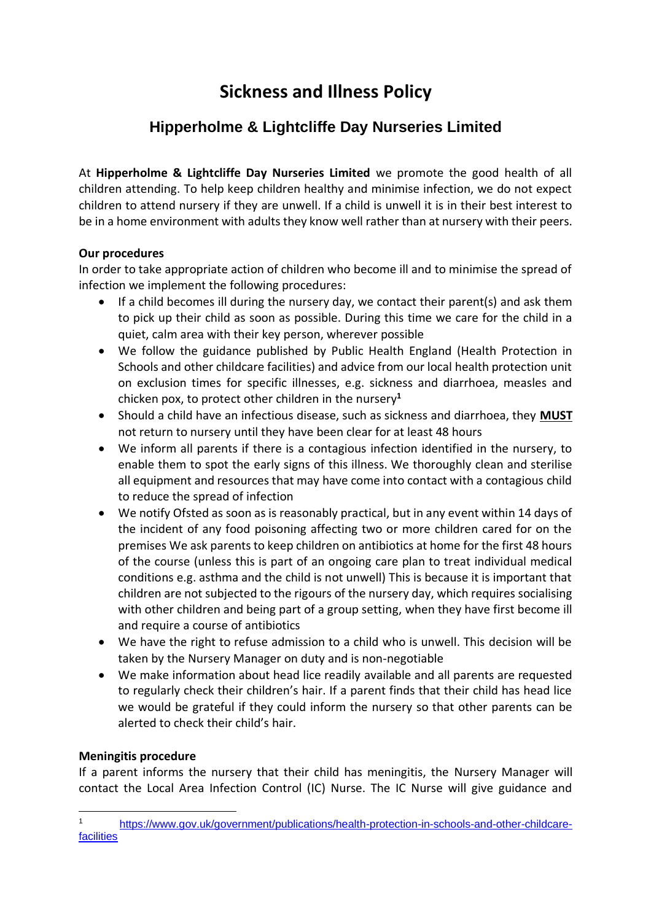# **Sickness and Illness Policy**

## **Hipperholme & Lightcliffe Day Nurseries Limited**

At **Hipperholme & Lightcliffe Day Nurseries Limited** we promote the good health of all children attending. To help keep children healthy and minimise infection, we do not expect children to attend nursery if they are unwell. If a child is unwell it is in their best interest to be in a home environment with adults they know well rather than at nursery with their peers.

#### **Our procedures**

In order to take appropriate action of children who become ill and to minimise the spread of infection we implement the following procedures:

- If a child becomes ill during the nursery day, we contact their parent(s) and ask them to pick up their child as soon as possible. During this time we care for the child in a quiet, calm area with their key person, wherever possible
- We follow the guidance published by Public Health England (Health Protection in Schools and other childcare facilities) and advice from our local health protection unit on exclusion times for specific illnesses, e.g. sickness and diarrhoea, measles and chicken pox, to protect other children in the nursery**<sup>1</sup>**
- Should a child have an infectious disease, such as sickness and diarrhoea, they **MUST** not return to nursery until they have been clear for at least 48 hours
- We inform all parents if there is a contagious infection identified in the nursery, to enable them to spot the early signs of this illness. We thoroughly clean and sterilise all equipment and resources that may have come into contact with a contagious child to reduce the spread of infection
- We notify Ofsted as soon as is reasonably practical, but in any event within 14 days of the incident of any food poisoning affecting two or more children cared for on the premises We ask parents to keep children on antibiotics at home for the first 48 hours of the course (unless this is part of an ongoing care plan to treat individual medical conditions e.g. asthma and the child is not unwell) This is because it is important that children are not subjected to the rigours of the nursery day, which requires socialising with other children and being part of a group setting, when they have first become ill and require a course of antibiotics
- We have the right to refuse admission to a child who is unwell. This decision will be taken by the Nursery Manager on duty and is non-negotiable
- We make information about head lice readily available and all parents are requested to regularly check their children's hair. If a parent finds that their child has head lice we would be grateful if they could inform the nursery so that other parents can be alerted to check their child's hair.

### **Meningitis procedure**

If a parent informs the nursery that their child has meningitis, the Nursery Manager will contact the Local Area Infection Control (IC) Nurse. The IC Nurse will give guidance and

<sup>1</sup> [https://www.gov.uk/government/publications/health-protection-in-schools-and-other-childcare](https://www.gov.uk/government/publications/health-protection-in-schools-and-other-childcare-facilities)[facilities](https://www.gov.uk/government/publications/health-protection-in-schools-and-other-childcare-facilities)